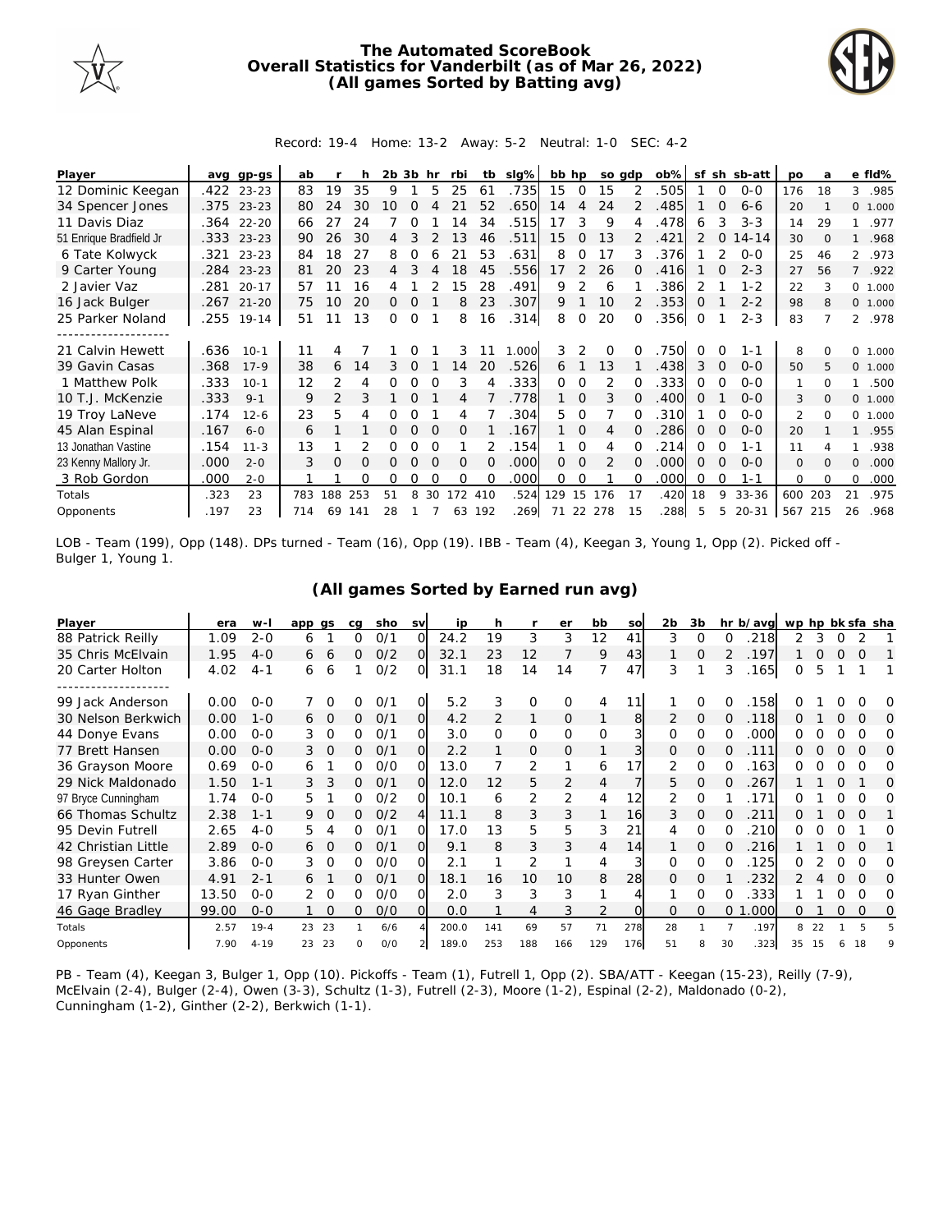

## **The Automated ScoreBook Overall Statistics for Vanderbilt (as of Mar 26, 2022) (All games Sorted by Batting avg)**



## Record: 19-4 Home: 13-2 Away: 5-2 Neutral: 1-0 SEC: 4-2

| Player                  | avq  | gp-gs      | ab  |                |     | 2b 3b |          | hr       | rbi      | tb       | slg%  | bb hp    |               | so adp         |              | $ob\%$ | sf            |          | sh sb-att | po             | a        |                | e fld%  |
|-------------------------|------|------------|-----|----------------|-----|-------|----------|----------|----------|----------|-------|----------|---------------|----------------|--------------|--------|---------------|----------|-----------|----------------|----------|----------------|---------|
| 12 Dominic Keegan       |      | .422 23-23 | 83  | 19             | 35  | 9     |          | 5        | 25       | 61       | .735  | 15       | $\Omega$      | 15             |              | .505   |               | $\Omega$ | $0 - 0$   | 176            | 18       | 3              | .985    |
| 34 Spencer Jones        |      | .375 23-23 | 80  | 24             | 30  | 10    | $\Omega$ |          |          | 52       | .650  | 14       | 4             | 24             |              | .485   |               | $\Omega$ | $6 - 6$   | 20             |          |                | 0 1.000 |
| 11 Davis Diaz           | .364 | $22 - 20$  | 66  | 27             | 24  |       |          |          | 4        | 34       | .515  | 17       | 3             | 9              |              | .478   | 6             | 3        | $3 - 3$   | 14             | 29       | 1              | .977    |
| 51 Enrique Bradfield Jr | .333 | $23 - 23$  | 90  | 26             | 30  | 4     |          |          | 1.3      | 46       | .511  | 15       | $\Omega$      | 13             |              | .421   | $\mathcal{P}$ |          | $14 - 14$ | 30             | $\Omega$ |                | .968    |
| 6 Tate Kolwyck          | .321 | $23 - 23$  | 84  | 18             | 27  | 8     | 0        |          | 21       | 53       | .631  | 8        | O             | 17             | 3            | .376   |               |          | $O-O$     | 25             | 46       |                | 2 .973  |
| 9 Carter Young          | .284 | $23 - 23$  | 81  | 20             | 23  | 4     |          |          | 18       | 45       | .556  | 17       |               | 26             | Ω            | .416   |               |          | $2 - 3$   | 27             | 56       | $\overline{7}$ | .922    |
| 2 Javier Vaz            | .281 | $20 - 17$  | 57  |                | 16  |       |          |          | 15       | 28       | .491  | 9        |               | 6              |              | .386   | 2             |          | $1 - 2$   | 22             |          |                | 0 1.000 |
| 16 Jack Bulger          |      | .267 21-20 | 75  | 10             | 20  | 0     | 0        |          | 8        | 23       | .307  | 9        |               | 10             |              | .353   | $\Omega$      |          | $2 - 2$   | 98             | 8        |                | 0 1.000 |
| 25 Parker Noland        | .255 | $19 - 14$  | 51  |                | 13  | 0     | 0        |          | 8        | 16       | .314  | 8        | $\Omega$      | 20             | <sup>o</sup> | .356   | $\Omega$      |          | $2 - 3$   | 83             |          |                | 2 .978  |
|                         |      |            |     |                |     |       |          |          |          |          |       |          |               |                |              |        |               |          |           |                |          |                |         |
| 21 Calvin Hewett        | .636 | $10-1$     | 11  |                |     |       |          |          | 3        | 11       | 1.000 | 3        | $\mathcal{P}$ | $\Omega$       |              | .750   | $\Omega$      |          | 1-1       | 8              |          | $\Omega$       | 1.000   |
| 39 Gavin Casas          | .368 | $17 - 9$   | 38  | 6              | 14  | 3     | $\Omega$ |          | 14       | 20       | .526  | 6        |               | 13             |              | .438   | 3             | $\Omega$ | $0 - 0$   | 50             | 5        |                | 0 1.000 |
| 1 Matthew Polk          | .333 | $10-1$     | 12  | 2              | 4   | 0     | Ω        |          | 3        | 4        | .333  | $\Omega$ | 0             | $\overline{2}$ | 0            | .333   | 0             |          | $0 - 0$   | 1              | $\Omega$ | 1              | .500    |
| 10 T.J. McKenzie        | .333 | $9 - 1$    | 9   | $\overline{2}$ | 3   |       |          |          | 4        |          | .778  |          | $\Omega$      | 3              |              | .400   | $\Omega$      |          | $0 - 0$   | 3              | $\Omega$ |                | 0 1.000 |
| 19 Troy LaNeve          | .174 | $12 - 6$   | 23  | 5              |     |       |          |          | 4        |          | .304  | 5.       | $\Omega$      |                |              | 310    |               |          | $0 - 0$   | $\mathfrak{D}$ | $\Omega$ | 0              | 1.000   |
| 45 Alan Espinal         | .167 | $6 - 0$    | 6   |                |     | 0     | $\Omega$ | $\Omega$ | $\Omega$ |          | .167  |          | $\Omega$      | 4              | <sup>o</sup> | .286   | 0             | $\Omega$ | $0 - 0$   | 20             |          | 1              | .955    |
| 13 Jonathan Vastine     | .154 | $11 - 3$   | 13  |                |     | Ω     | Ω        |          |          |          | .154  |          | $\Omega$      | 4              |              | .214   | 0             |          | $1 - 1$   | 11             |          |                | .938    |
| 23 Kenny Mallory Jr.    | .000 | $2 - 0$    | 3   | O              | O   |       |          |          | $\Omega$ | $\Omega$ | .000  | 0        | $\Omega$      |                |              | .000   | $\Omega$      |          | $0 - 0$   | $\mathbf{O}$   | $\Omega$ | $\Omega$       | .000    |
| 3 Rob Gordon            | .000 | $2 - 0$    |     |                | Ω   | Ω     | Ω        | $\Omega$ | $\Omega$ | $\Omega$ | .000  | 0        | 0             |                | 0            | .000   | $\Omega$      | $\Omega$ | $1 - 1$   | 0              | $\Omega$ | 0              | .000    |
| Totals                  | .323 | 23         | 783 | 188            | 253 | 51    | 8        | 30       | 172      | 410      | .524  | 129      | 15            | 176            | 17           | .420   | 18            | 9        | 33-36     | 600            | 203      | 21             | .975    |
| Opponents               | .197 | 23         | 714 | 69             | 141 | 28    |          |          | 63       | 192      | .269  | 71       |               | 22 278         | 15           | .288   | 5             | 5.       | $20 - 31$ | 567 215        |          | 26             | .968    |

LOB - Team (199), Opp (148). DPs turned - Team (16), Opp (19). IBB - Team (4), Keegan 3, Young 1, Opp (2). Picked off - Bulger 1, Young 1.

| Player              | era   | w-l      | app gs       | ca | sho | <b>SV</b> | ip    | h        |     | er  | bb             | so  | 2b       | 3b       |    | hr b/avg | wp hp bk sfa sha |    |          |          |   |
|---------------------|-------|----------|--------------|----|-----|-----------|-------|----------|-----|-----|----------------|-----|----------|----------|----|----------|------------------|----|----------|----------|---|
| 88 Patrick Reilly   | 1.09  | $2 - 0$  | 6            | 0  | O/1 | $\Omega$  | 24.2  | 19       | 3   | 3   | 12             | 41  | 3        | 0        | 0  | 218      | 2                | 3  |          |          |   |
| 35 Chris McElvain   | 1.95  | $4 - 0$  | 6<br>6       | 0  | O/2 | O.        | 32.1  | 23       | 12  |     | 9              | 43  |          | 0        |    | .197     |                  | O  |          | $\Omega$ |   |
| 20 Carter Holton    | 4.02  | $4 - 1$  | 6<br>6       |    | O/2 | Ol        | 31.1  | 18       | 14  | 14  |                | 47  | 3        |          | 3  | .165     | 0                | 5  |          |          |   |
|                     |       |          |              |    |     |           |       |          |     |     |                |     |          |          |    |          |                  |    |          |          |   |
| 99 Jack Anderson    | 0.00  | $0 - 0$  | $\Omega$     | Ω  | O/1 | 0         | 5.2   | 3        | O   | 0   | 4              | 11  |          | 0        | O  | .158     | ∩                |    |          |          |   |
| 30 Nelson Berkwich  | 0.00  | $1 - 0$  | $\circ$<br>6 | 0  | 0/1 | O.        | 4.2   | 2        | 1   | 0   | 1              | 8   | 2        | 0        | 0  | .118     | O                |    | O        | 0        | O |
| 44 Donye Evans      | 0.00  | $O - O$  | 3<br>0       | 0  | 0/1 | O.        | 3.0   | $\Omega$ | 0   | 0   | 0              | 3   | 0        | 0        | 0  | .000     | 0                | Ω  | 0        | 0        | Ω |
| 77 Brett Hansen     | 0.00  | $O-O$    | 0<br>3       | 0  | O/1 | O.        | 2.2   |          | 0   | 0   |                |     | 0        | 0        | Ω  | .111     |                  |    | $\Omega$ | 0        | O |
| 36 Grayson Moore    | 0.69  | $O - O$  | 6            | 0  | O/O | O.        | 13.0  |          | 2   | 1   | 6              | 17  | 2        | 0        |    | .163     | O                |    |          | Ω        | Ω |
| 29 Nick Maldonado   | 1.50  | $1 - 1$  | 3<br>3       | 0  | 0/1 | 0         | 12.0  | 12       | 5   | 2   | $\overline{4}$ |     | 5        | 0        | Ω  | 267      |                  |    | Ω        |          | Ω |
| 97 Bryce Cunningham | 1.74  | $O - O$  | 5            | 0  | O/2 | 0.        | 10.1  | 6        | 2   | 2   | 4              | 12  | 2        | Ω        |    | 171      |                  |    |          | O        | O |
| 66 Thomas Schultz   | 2.38  | $1 - 1$  | 9<br>0       | 0  | O/2 | 4         | 11.1  | 8        | 3   | 3   |                | 16  | 3        | 0        | Ω  | 211      | Ω                |    | 0        | $\Omega$ |   |
| 95 Devin Futrell    | 2.65  | $4 - 0$  | 5<br>4       | Ω  | 0/1 | O         | 17.0  | 13       | 5   | 5   | 3              | 21  | 4        | Ω        |    | 210      | O                |    |          |          |   |
| 42 Christian Little | 2.89  | $0 - 0$  | 0<br>6       | 0  | 0/1 | 0         | 9.1   | 8        | 3   | 3   | 4              | 14  |          | 0        | 0  | .216     |                  |    | 0        | O        |   |
| 98 Greysen Carter   | 3.86  | $O - O$  | 0<br>3       | 0  | O/O | 0         | 2.1   |          | 2   |     | 4              |     | 0        | $\Omega$ |    | .125     | O                |    |          |          | O |
| 33 Hunter Owen      | 4.91  | $2 - 1$  | 6            | 0  | O/1 | $\Omega$  | 18.1  | 16       | 10  | 10  | 8              | 28  | 0        | 0        |    | 232      |                  |    |          | O        | 0 |
| 17 Ryan Ginther     | 13.50 | $0 - 0$  | 2<br>0       | 0  | O/O | 0.        | 2.0   | 3        | 3   | 3   |                |     |          | Ω        | Ω  | 333.     |                  |    | Ω        | O        | Ω |
| 46 Gage Bradley     | 99.00 | $O - O$  | O            | Ω  | O/O | O.        | 0.0   |          | 4   | 3   | 2              |     | $\Omega$ | 0        | 0  | .000     | O                |    | $\Omega$ | 0        | 0 |
| Totals              | 2.57  | $19 - 4$ | 23<br>23     |    | 6/6 |           | 200.0 | 141      | 69  | 57  | 71             | 278 | 28       |          |    | .197     | 8                | 22 |          |          |   |
| Opponents           | 7.90  | $4 - 19$ | 23<br>23     | O  | O/O |           | 189.0 | 253      | 188 | 166 | 129            | 176 | 51       | 8        | 30 | .323     | 35               | 15 |          | 18       | q |

**(All games Sorted by Earned run avg)**

PB - Team (4), Keegan 3, Bulger 1, Opp (10). Pickoffs - Team (1), Futrell 1, Opp (2). SBA/ATT - Keegan (15-23), Reilly (7-9), McElvain (2-4), Bulger (2-4), Owen (3-3), Schultz (1-3), Futrell (2-3), Moore (1-2), Espinal (2-2), Maldonado (0-2), Cunningham (1-2), Ginther (2-2), Berkwich (1-1).